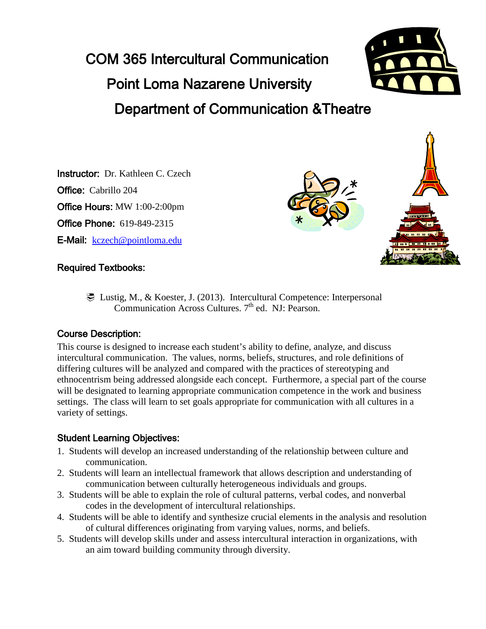# COM 365 Intercultural Communication Point Loma Nazarene University Department of Communication &Theatre



Instructor: Dr. Kathleen C. Czech Office: Cabrillo 204 Office Hours: MW 1:00-2:00pm Office Phone: 619-849-2315 E-Mail: [kczech@pointloma.edu](mailto:kczech@pointloma.edu)



#### Required Textbooks:

 Lustig, M., & Koester, J. (2013). Intercultural Competence: Interpersonal Communication Across Cultures.  $7<sup>th</sup>$  ed. NJ: Pearson.

#### Course Description:

This course is designed to increase each student's ability to define, analyze, and discuss intercultural communication. The values, norms, beliefs, structures, and role definitions of differing cultures will be analyzed and compared with the practices of stereotyping and ethnocentrism being addressed alongside each concept. Furthermore, a special part of the course will be designated to learning appropriate communication competence in the work and business settings. The class will learn to set goals appropriate for communication with all cultures in a variety of settings.

# Student Learning Objectives:

- 1. Students will develop an increased understanding of the relationship between culture and communication.
- 2. Students will learn an intellectual framework that allows description and understanding of communication between culturally heterogeneous individuals and groups.
- 3. Students will be able to explain the role of cultural patterns, verbal codes, and nonverbal codes in the development of intercultural relationships.
- 4. Students will be able to identify and synthesize crucial elements in the analysis and resolution of cultural differences originating from varying values, norms, and beliefs.
- 5. Students will develop skills under and assess intercultural interaction in organizations, with an aim toward building community through diversity.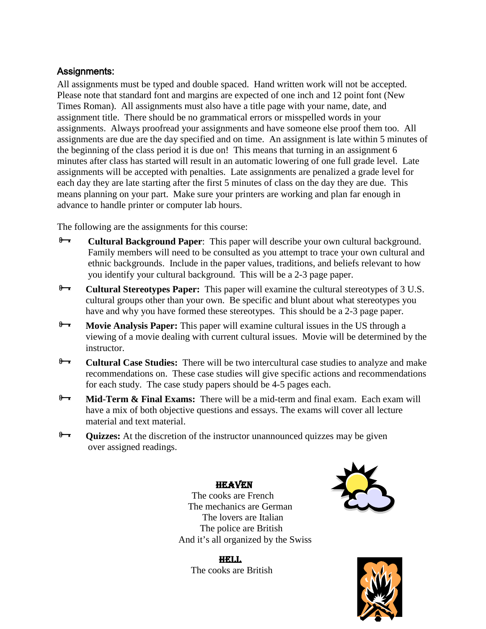#### Assignments:

All assignments must be typed and double spaced. Hand written work will not be accepted. Please note that standard font and margins are expected of one inch and 12 point font (New Times Roman). All assignments must also have a title page with your name, date, and assignment title. There should be no grammatical errors or misspelled words in your assignments. Always proofread your assignments and have someone else proof them too. All assignments are due are the day specified and on time. An assignment is late within 5 minutes of the beginning of the class period it is due on! This means that turning in an assignment 6 minutes after class has started will result in an automatic lowering of one full grade level. Late assignments will be accepted with penalties. Late assignments are penalized a grade level for each day they are late starting after the first 5 minutes of class on the day they are due. This means planning on your part. Make sure your printers are working and plan far enough in advance to handle printer or computer lab hours.

The following are the assignments for this course:

- **Cultural Background Paper**: This paper will describe your own cultural background.<br>Family members will need to be consulted as you attempt to trace your own cultural and ethnic backgrounds. Include in the paper values, traditions, and beliefs relevant to how you identify your cultural background. This will be a 2-3 page paper.
- **Cultural Stereotypes Paper:** This paper will examine the cultural stereotypes of 3 U.S. cultural groups other than your own. Be specific and blunt about what stereotypes you have and why you have formed these stereotypes. This should be a 2-3 page paper.
- **Movie Analysis Paper:** This paper will examine cultural issues in the US through a viewing of a movie dealing with current cultural issues. Movie will be determined by the instructor.
- **Cultural Case Studies:** There will be two intercultural case studies to analyze and make recommendations on. These case studies will give specific actions and recommendations for each study. The case study papers should be 4-5 pages each.
- **Mid-Term & Final Exams:** There will be a mid-term and final exam. Each exam will have a mix of both objective questions and essays. The exams will cover all lecture material and text material.
- **Quizzes:** At the discretion of the instructor unannounced quizzes may be given over assigned readings.

#### **HEAVEN**

 The cooks are French The mechanics are German The lovers are Italian The police are British And it's all organized by the Swiss

HELL. The cooks are British



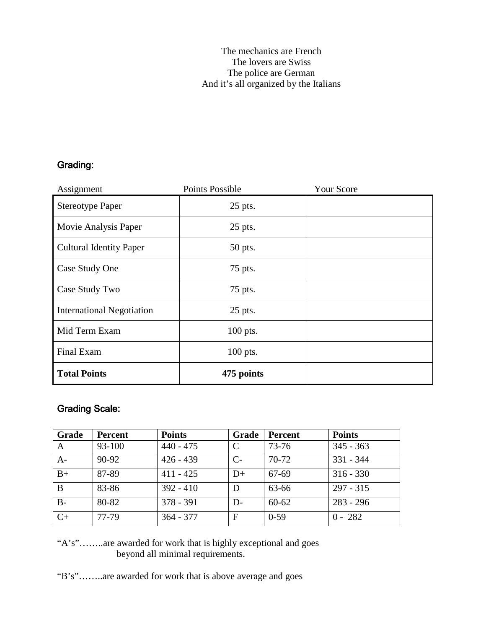## Grading:

| Assignment                       | <b>Points Possible</b> | <b>Your Score</b> |
|----------------------------------|------------------------|-------------------|
| <b>Stereotype Paper</b>          | 25 pts.                |                   |
| Movie Analysis Paper             | $25$ pts.              |                   |
| <b>Cultural Identity Paper</b>   | 50 pts.                |                   |
| Case Study One                   | 75 pts.                |                   |
| Case Study Two                   | 75 pts.                |                   |
| <b>International Negotiation</b> | 25 pts.                |                   |
| Mid Term Exam                    | 100 pts.               |                   |
| Final Exam                       | 100 pts.               |                   |
| <b>Total Points</b>              | 475 points             |                   |

## Grading Scale:

| <b>Grade</b> | Percent | <b>Points</b> | Grade | <b>Percent</b> | <b>Points</b> |
|--------------|---------|---------------|-------|----------------|---------------|
| $\mathbf{A}$ | 93-100  | $440 - 475$   |       | 73-76          | $345 - 363$   |
| $A-$         | $90-92$ | $426 - 439$   | C-    | $70-72$        | $331 - 344$   |
| $B+$         | 87-89   | $411 - 425$   | $D+$  | 67-69          | $316 - 330$   |
| B            | 83-86   | $392 - 410$   | D     | 63-66          | $297 - 315$   |
| $B -$        | 80-82   | $378 - 391$   | D-    | $60 - 62$      | $283 - 296$   |
| $C+$         | 77-79   | $364 - 377$   | F     | $0-59$         | $0 - 282$     |

"A's"……..are awarded for work that is highly exceptional and goes beyond all minimal requirements.

"B's"……..are awarded for work that is above average and goes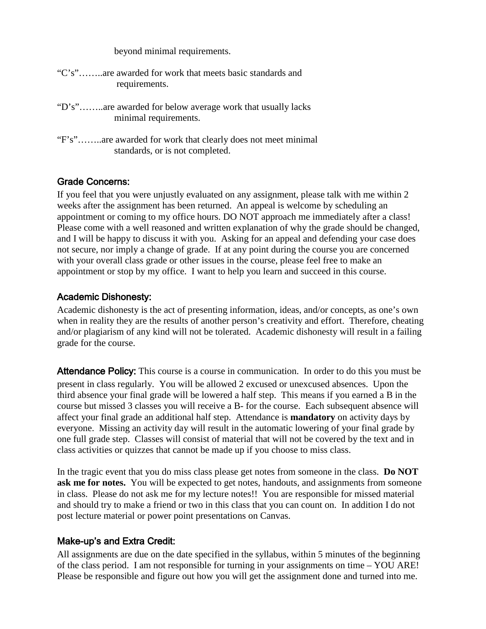beyond minimal requirements.

| "C's"are awarded for work that meets basic standards and |               |  |  |  |
|----------------------------------------------------------|---------------|--|--|--|
|                                                          | requirements. |  |  |  |

- "D's"……..are awarded for below average work that usually lacks minimal requirements.
- "F's"……..are awarded for work that clearly does not meet minimal standards, or is not completed.

#### Grade Concerns:

If you feel that you were unjustly evaluated on any assignment, please talk with me within 2 weeks after the assignment has been returned. An appeal is welcome by scheduling an appointment or coming to my office hours. DO NOT approach me immediately after a class! Please come with a well reasoned and written explanation of why the grade should be changed, and I will be happy to discuss it with you. Asking for an appeal and defending your case does not secure, nor imply a change of grade. If at any point during the course you are concerned with your overall class grade or other issues in the course, please feel free to make an appointment or stop by my office. I want to help you learn and succeed in this course.

#### Academic Dishonesty:

Academic dishonesty is the act of presenting information, ideas, and/or concepts, as one's own when in reality they are the results of another person's creativity and effort. Therefore, cheating and/or plagiarism of any kind will not be tolerated. Academic dishonesty will result in a failing grade for the course.

Attendance Policy: This course is a course in communication. In order to do this you must be present in class regularly. You will be allowed 2 excused or unexcused absences. Upon the third absence your final grade will be lowered a half step. This means if you earned a B in the course but missed 3 classes you will receive a B- for the course. Each subsequent absence will affect your final grade an additional half step. Attendance is **mandatory** on activity days by everyone. Missing an activity day will result in the automatic lowering of your final grade by one full grade step. Classes will consist of material that will not be covered by the text and in class activities or quizzes that cannot be made up if you choose to miss class.

In the tragic event that you do miss class please get notes from someone in the class. **Do NOT ask me for notes.** You will be expected to get notes, handouts, and assignments from someone in class. Please do not ask me for my lecture notes!! You are responsible for missed material and should try to make a friend or two in this class that you can count on. In addition I do not post lecture material or power point presentations on Canvas.

#### Make-up's and Extra Credit:

All assignments are due on the date specified in the syllabus, within 5 minutes of the beginning of the class period. I am not responsible for turning in your assignments on time – YOU ARE! Please be responsible and figure out how you will get the assignment done and turned into me.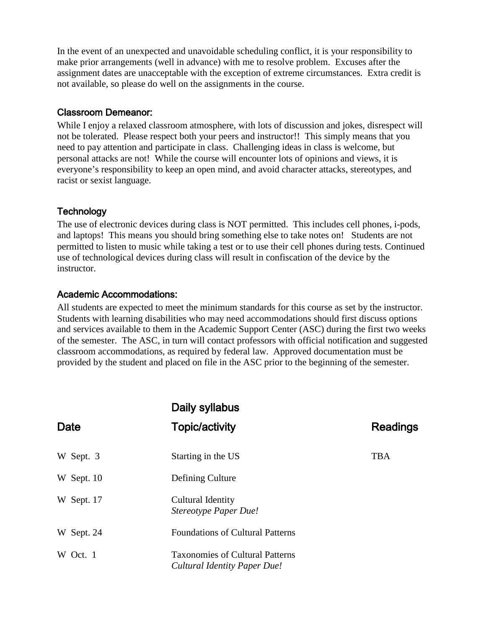In the event of an unexpected and unavoidable scheduling conflict, it is your responsibility to make prior arrangements (well in advance) with me to resolve problem. Excuses after the assignment dates are unacceptable with the exception of extreme circumstances. Extra credit is not available, so please do well on the assignments in the course.

#### Classroom Demeanor:

While I enjoy a relaxed classroom atmosphere, with lots of discussion and jokes, disrespect will not be tolerated. Please respect both your peers and instructor!! This simply means that you need to pay attention and participate in class. Challenging ideas in class is welcome, but personal attacks are not! While the course will encounter lots of opinions and views, it is everyone's responsibility to keep an open mind, and avoid character attacks, stereotypes, and racist or sexist language.

#### **Technology**

The use of electronic devices during class is NOT permitted. This includes cell phones, i-pods, and laptops! This means you should bring something else to take notes on! Students are not permitted to listen to music while taking a test or to use their cell phones during tests. Continued use of technological devices during class will result in confiscation of the device by the instructor.

#### Academic Accommodations:

All students are expected to meet the minimum standards for this course as set by the instructor. Students with learning disabilities who may need accommodations should first discuss options and services available to them in the Academic Support Center (ASC) during the first two weeks of the semester. The ASC, in turn will contact professors with official notification and suggested classroom accommodations, as required by federal law. Approved documentation must be provided by the student and placed on file in the ASC prior to the beginning of the semester.

|            | Daily syllabus                                                         |                 |
|------------|------------------------------------------------------------------------|-----------------|
| Date       | <b>Topic/activity</b>                                                  | <b>Readings</b> |
| W Sept. 3  | Starting in the US                                                     | <b>TBA</b>      |
| W Sept. 10 | Defining Culture                                                       |                 |
| W Sept. 17 | Cultural Identity<br>Stereotype Paper Due!                             |                 |
| W Sept. 24 | <b>Foundations of Cultural Patterns</b>                                |                 |
| W Oct. 1   | <b>Taxonomies of Cultural Patterns</b><br>Cultural Identity Paper Due! |                 |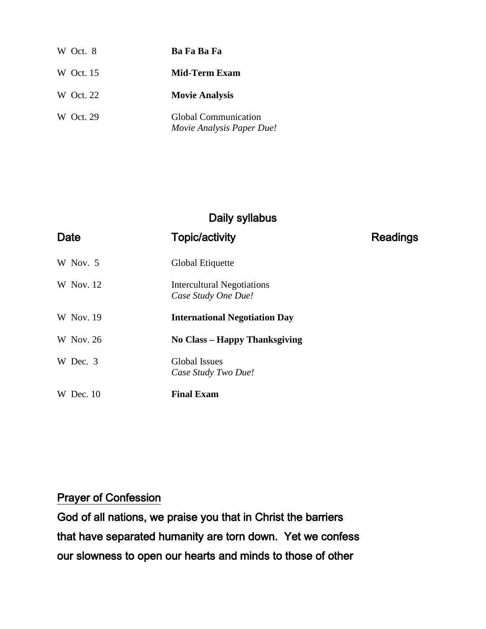| W Oct. 8  | Ba Fa Ba Fa                                       |
|-----------|---------------------------------------------------|
| W Oct. 15 | <b>Mid-Term Exam</b>                              |
| W Oct. 22 | <b>Movie Analysis</b>                             |
| W Oct. 29 | Global Communication<br>Movie Analysis Paper Due! |

# Daily syllabus

| Date             | <b>Topic/activity</b>                                    | <b>Readings</b> |
|------------------|----------------------------------------------------------|-----------------|
| W Nov. 5         | Global Etiquette                                         |                 |
| W Nov. 12        | <b>Intercultural Negotiations</b><br>Case Study One Due! |                 |
| W Nov. 19        | <b>International Negotiation Day</b>                     |                 |
| <b>W</b> Nov. 26 | <b>No Class – Happy Thanksgiving</b>                     |                 |
| W Dec. 3         | <b>Global Issues</b><br>Case Study Two Due!              |                 |
| W Dec. $10$      | <b>Final Exam</b>                                        |                 |

# Prayer of Confession

God of all nations, we praise you that in Christ the barriers that have separated humanity are torn down. Yet we confess our slowness to open our hearts and minds to those of other